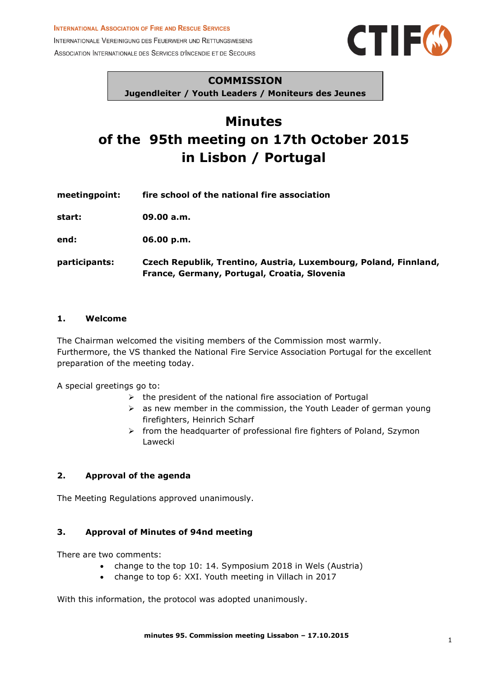INTERNATIONALE VEREINIGUNG DES FEUERWEHR UND RETTUNGSWESENS ASSOCIATION INTERNATIONALE DES SERVICES D'INCENDIE ET DE SECOURS



#### **COMMISSION**

**Jugendleiter / Youth Leaders / Moniteurs des Jeunes**

# **Minutes of the 95th meeting on 17th October 2015 in Lisbon / Portugal**

**meetingpoint: fire school of the national fire association start: 09.00 a.m. end: 06.00 p.m. participants: Czech Republik, Trentino, Austria, Luxembourg, Poland, Finnland, France, Germany, Portugal, Croatia, Slovenia**

#### **1. Welcome**

The Chairman welcomed the visiting members of the Commission most warmly. Furthermore, the VS thanked the National Fire Service Association Portugal for the excellent preparation of the meeting today.

A special greetings go to:

- $\triangleright$  the president of the national fire association of Portugal
- $\triangleright$  as new member in the commission, the Youth Leader of german young firefighters, Heinrich Scharf
- $\triangleright$  from the headquarter of professional fire fighters of Poland, Szymon Lawecki

## **2. Approval of the agenda**

The Meeting Regulations approved unanimously.

## **3. Approval of Minutes of 94nd meeting**

There are two comments:

- change to the top 10: 14. Symposium 2018 in Wels (Austria)
- change to top 6: XXI. Youth meeting in Villach in 2017

With this information, the protocol was adopted unanimously.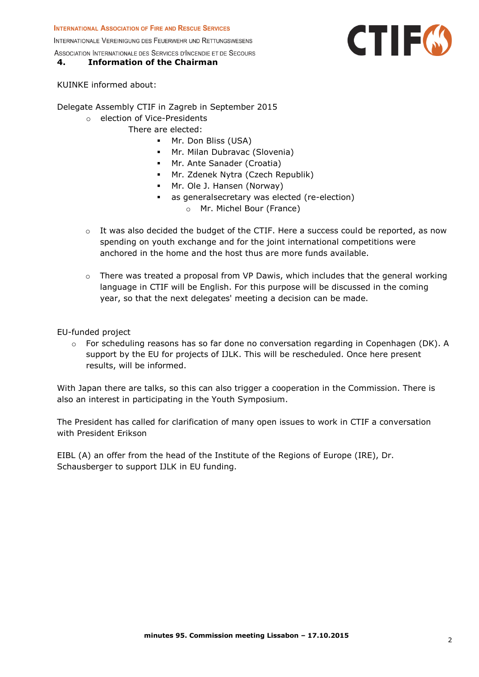INTERNATIONALE VEREINIGUNG DES FEUERWEHR UND RETTUNGSWESENS

## ASSOCIATION INTERNATIONALE DES SERVICES D'INCENDIE ET DE SECOURS

## **4. Information of the Chairman**

KUINKE informed about:

Delegate Assembly CTIF in Zagreb in September 2015

- o election of Vice-Presidents
	- There are elected:
		- **Mr. Don Bliss (USA)** 
			- Mr. Milan Dubravac (Slovenia)
		- Mr. Ante Sanader (Croatia)
		- Mr. Zdenek Nytra (Czech Republik)
		- Mr. Ole J. Hansen (Norway)
		- as generalsecretary was elected (re-election)
			- o Mr. Michel Bour (France)
- o It was also decided the budget of the CTIF. Here a success could be reported, as now spending on youth exchange and for the joint international competitions were anchored in the home and the host thus are more funds available.
- $\circ$  There was treated a proposal from VP Dawis, which includes that the general working language in CTIF will be English. For this purpose will be discussed in the coming year, so that the next delegates' meeting a decision can be made.

EU-funded project

o For scheduling reasons has so far done no conversation regarding in Copenhagen (DK). A support by the EU for projects of IJLK. This will be rescheduled. Once here present results, will be informed.

With Japan there are talks, so this can also trigger a cooperation in the Commission. There is also an interest in participating in the Youth Symposium.

The President has called for clarification of many open issues to work in CTIF a conversation with President Erikson

EIBL (A) an offer from the head of the Institute of the Regions of Europe (IRE), Dr. Schausberger to support IJLK in EU funding.

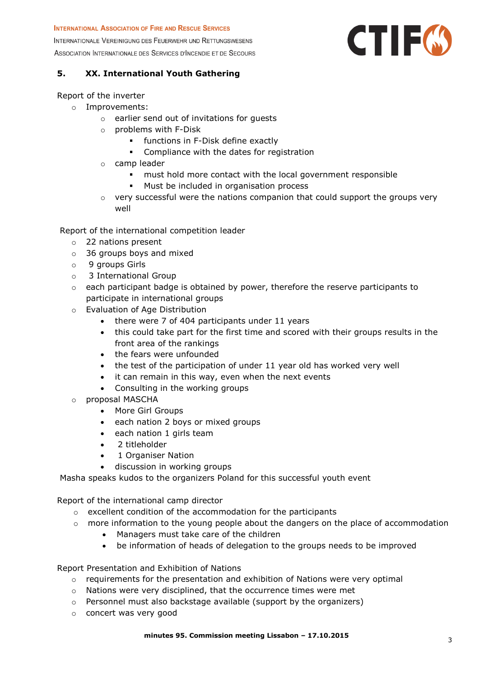INTERNATIONALE VEREINIGUNG DES FEUERWEHR UND RETTUNGSWESENS ASSOCIATION INTERNATIONALE DES SERVICES D'INCENDIE ET DE SECOURS



#### **5. XX. International Youth Gathering**

#### Report of the inverter

- o Improvements:
	- o earlier send out of invitations for guests
	- o problems with F-Disk
		- functions in F-Disk define exactly
		- **•** Compliance with the dates for registration
	- o camp leader
		- must hold more contact with the local government responsible
		- **Must be included in organisation process**
	- o very successful were the nations companion that could support the groups very well

Report of the international competition leader

- o 22 nations present
- o 36 groups boys and mixed
- o 9 groups Girls
- o 3 International Group
- $\circ$  each participant badge is obtained by power, therefore the reserve participants to participate in international groups
- o Evaluation of Age Distribution
	- there were 7 of 404 participants under 11 years
	- this could take part for the first time and scored with their groups results in the front area of the rankings
	- the fears were unfounded
	- the test of the participation of under 11 year old has worked very well
	- it can remain in this way, even when the next events
	- Consulting in the working groups
- o proposal MASCHA
	- More Girl Groups
	- each nation 2 boys or mixed groups
	- each nation 1 girls team
	- 2 titleholder
	- 1 Organiser Nation
	- discussion in working groups

Masha speaks kudos to the organizers Poland for this successful youth event

Report of the international camp director

- o excellent condition of the accommodation for the participants
- o more information to the young people about the dangers on the place of accommodation
	- Managers must take care of the children
	- be information of heads of delegation to the groups needs to be improved

Report Presentation and Exhibition of Nations

- $\circ$  requirements for the presentation and exhibition of Nations were very optimal
- o Nations were very disciplined, that the occurrence times were met
- o Personnel must also backstage available (support by the organizers)
- o concert was very good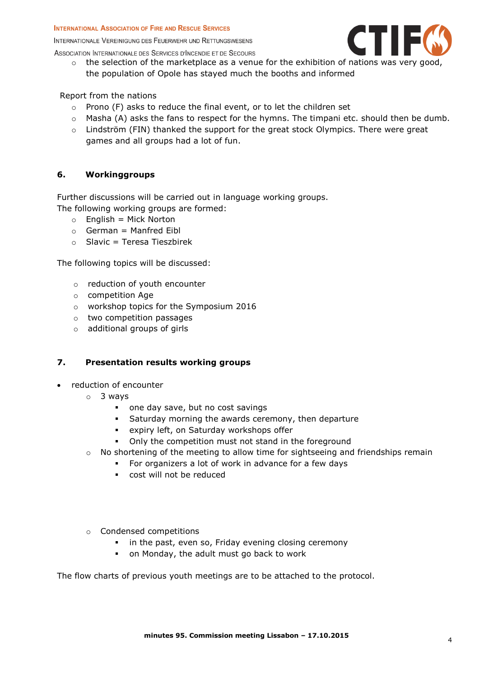INTERNATIONALE VEREINIGUNG DES FEUERWEHR UND RETTUNGSWESENS



- ASSOCIATION INTERNATIONALE DES SERVICES D'INCENDIE ET DE SECOURS
	- o the selection of the marketplace as a venue for the exhibition of nations was very good, the population of Opole has stayed much the booths and informed

Report from the nations

- $\circ$  Prono (F) asks to reduce the final event, or to let the children set
- o Masha (A) asks the fans to respect for the hymns. The timpani etc. should then be dumb.
- o Lindström (FIN) thanked the support for the great stock Olympics. There were great games and all groups had a lot of fun.

#### **6. Workinggroups**

Further discussions will be carried out in language working groups. The following working groups are formed:

- $\circ$  English = Mick Norton
- $\circ$  German = Manfred Eibl
- $\circ$  Slavic = Teresa Tieszbirek

The following topics will be discussed:

- o reduction of youth encounter
- o competition Age
- o workshop topics for the Symposium 2016
- o two competition passages
- o additional groups of girls

## **7. Presentation results working groups**

- reduction of encounter
	- o 3 ways
		- one day save, but no cost savings
		- Saturday morning the awards ceremony, then departure
		- expiry left, on Saturday workshops offer
		- Only the competition must not stand in the foreground
	- o No shortening of the meeting to allow time for sightseeing and friendships remain
		- For organizers a lot of work in advance for a few days
			- cost will not be reduced
	- o Condensed competitions
		- **i** in the past, even so, Friday evening closing ceremony
		- on Monday, the adult must go back to work

The flow charts of previous youth meetings are to be attached to the protocol.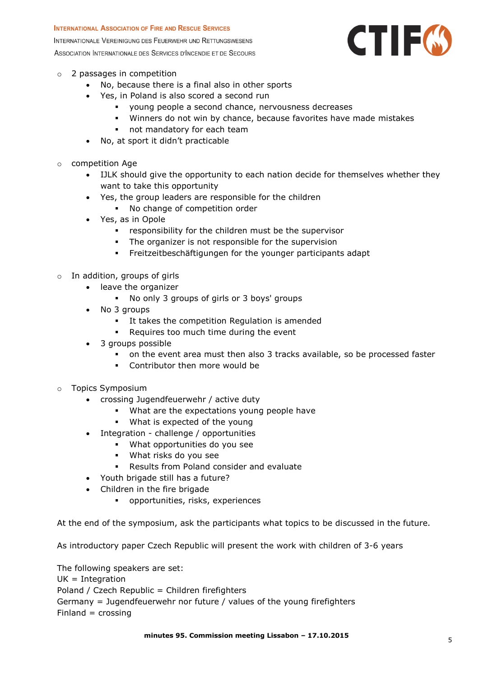INTERNATIONALE VEREINIGUNG DES FEUERWEHR UND RETTUNGSWESENS ASSOCIATION INTERNATIONALE DES SERVICES D'INCENDIE ET DE SECOURS



- o 2 passages in competition
	- No, because there is a final also in other sports
	- Yes, in Poland is also scored a second run
		- young people a second chance, nervousness decreases
		- Winners do not win by chance, because favorites have made mistakes
		- **not mandatory for each team**
	- No, at sport it didn't practicable
- o competition Age
	- IJLK should give the opportunity to each nation decide for themselves whether they want to take this opportunity
	- Yes, the group leaders are responsible for the children
		- No change of competition order
	- Yes, as in Opole
		- **•** responsibility for the children must be the supervisor
		- The organizer is not responsible for the supervision
		- Freitzeitbeschäftigungen for the younger participants adapt
- o In addition, groups of girls
	- leave the organizer
		- No only 3 groups of girls or 3 boys' groups
	- No 3 groups
		- **It takes the competition Regulation is amended**
		- **Requires too much time during the event**
	- 3 groups possible
		- on the event area must then also 3 tracks available, so be processed faster
		- Contributor then more would be
- o Topics Symposium
	- crossing Jugendfeuerwehr / active duty
		- What are the expectations young people have
		- What is expected of the young
	- Integration challenge / opportunities
		- What opportunities do you see
		- What risks do you see
		- Results from Poland consider and evaluate
	- Youth brigade still has a future?
	- Children in the fire brigade
		- opportunities, risks, experiences

At the end of the symposium, ask the participants what topics to be discussed in the future.

As introductory paper Czech Republic will present the work with children of 3-6 years

The following speakers are set:  $UK = Integration$ Poland / Czech Republic = Children firefighters Germany = Jugendfeuerwehr nor future / values of the young firefighters  $Finaland = crossing$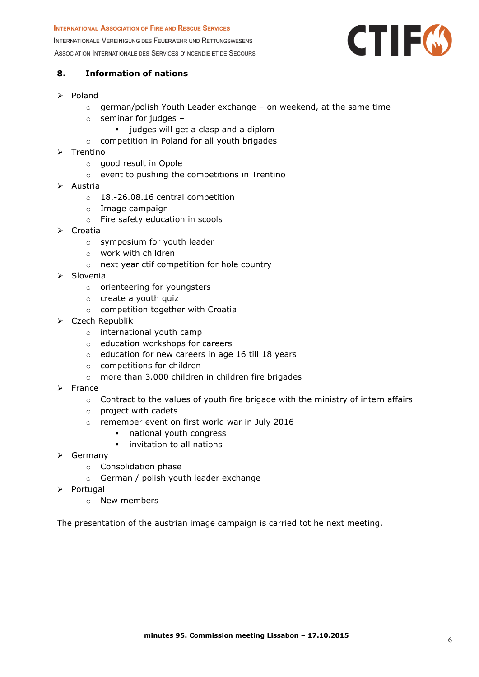INTERNATIONALE VEREINIGUNG DES FEUERWEHR UND RETTUNGSWESENS ASSOCIATION INTERNATIONALE DES SERVICES D'INCENDIE ET DE SECOURS



## **8. Information of nations**

- $\triangleright$  Poland
	- $\circ$  german/polish Youth Leader exchange on weekend, at the same time
	- $\circ$  seminar for judges
		- **i** judges will get a clasp and a diplom
	- o competition in Poland for all youth brigades
- $\triangleright$  Trentino
	- o good result in Opole
	- o event to pushing the competitions in Trentino
- Austria
	- o 18.-26.08.16 central competition
	- o Image campaign
	- o Fire safety education in scools
- ▶ Croatia
	- o symposium for youth leader
	- o work with children
	- o next year ctif competition for hole country
- $\triangleright$  Slovenia
	- o orienteering for youngsters
	- o create a youth quiz
	- o competition together with Croatia
- Czech Republik
	- o international youth camp
	- o education workshops for careers
	- o education for new careers in age 16 till 18 years
	- o competitions for children
	- o more than 3.000 children in children fire brigades
- $\triangleright$  France
	- $\circ$  Contract to the values of youth fire brigade with the ministry of intern affairs
	- o project with cadets
	- o remember event on first world war in July 2016
		- national youth congress
		- **·** invitation to all nations
- $\triangleright$  Germany
	- o Consolidation phase
	- o German / polish youth leader exchange
- $\triangleright$  Portugal
	- o New members

The presentation of the austrian image campaign is carried tot he next meeting.